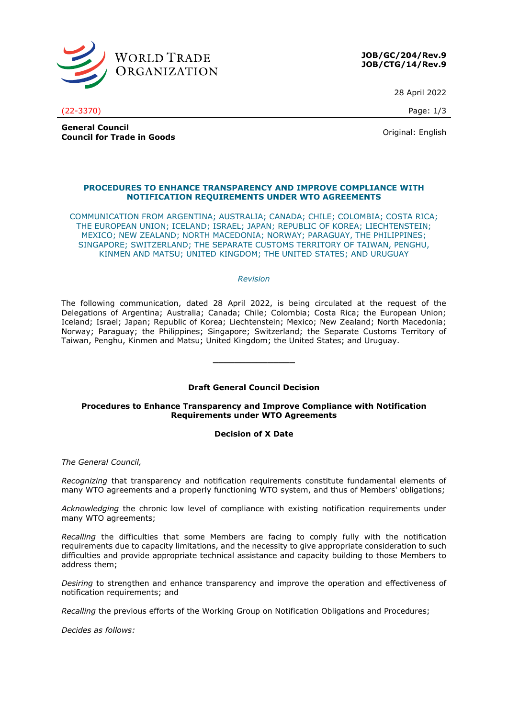

**JOB/GC/204/Rev.9 JOB/CTG/14/Rev.9**

28 April 2022

(22-3370) Page: 1/3

**General Council Council for Trade in Goods Council is a series and Council for Trade in Goods** Original: English

## **PROCEDURES TO ENHANCE TRANSPARENCY AND IMPROVE COMPLIANCE WITH NOTIFICATION REQUIREMENTS UNDER WTO AGREEMENTS**

COMMUNICATION FROM ARGENTINA; AUSTRALIA; CANADA; CHILE; COLOMBIA; COSTA RICA; THE EUROPEAN UNION; ICELAND; ISRAEL; JAPAN; REPUBLIC OF KOREA; LIECHTENSTEIN; MEXICO; NEW ZEALAND; NORTH MACEDONIA; NORWAY; PARAGUAY, THE PHILIPPINES; SINGAPORE; SWITZERLAND; THE SEPARATE CUSTOMS TERRITORY OF TAIWAN, PENGHU, KINMEN AND MATSU; UNITED KINGDOM; THE UNITED STATES; AND URUGUAY

## *Revision*

The following communication, dated 28 April 2022, is being circulated at the request of the Delegations of Argentina; Australia; Canada; Chile; Colombia; Costa Rica; the European Union; Iceland; Israel; Japan; Republic of Korea; Liechtenstein; Mexico; New Zealand; North Macedonia; Norway; Paraguay; the Philippines; Singapore; Switzerland; the Separate Customs Territory of Taiwan, Penghu, Kinmen and Matsu; United Kingdom; the United States; and Uruguay.

# **Draft General Council Decision**

**\_\_\_\_\_\_\_\_\_\_\_\_\_\_\_**

# **Procedures to Enhance Transparency and Improve Compliance with Notification Requirements under WTO Agreements**

# **Decision of X Date**

*The General Council,*

*Recognizing* that transparency and notification requirements constitute fundamental elements of many WTO agreements and a properly functioning WTO system, and thus of Members' obligations;

*Acknowledging* the chronic low level of compliance with existing notification requirements under many WTO agreements;

*Recalling* the difficulties that some Members are facing to comply fully with the notification requirements due to capacity limitations, and the necessity to give appropriate consideration to such difficulties and provide appropriate technical assistance and capacity building to those Members to address them;

*Desiring* to strengthen and enhance transparency and improve the operation and effectiveness of notification requirements; and

*Recalling* the previous efforts of the Working Group on Notification Obligations and Procedures;

*Decides as follows:*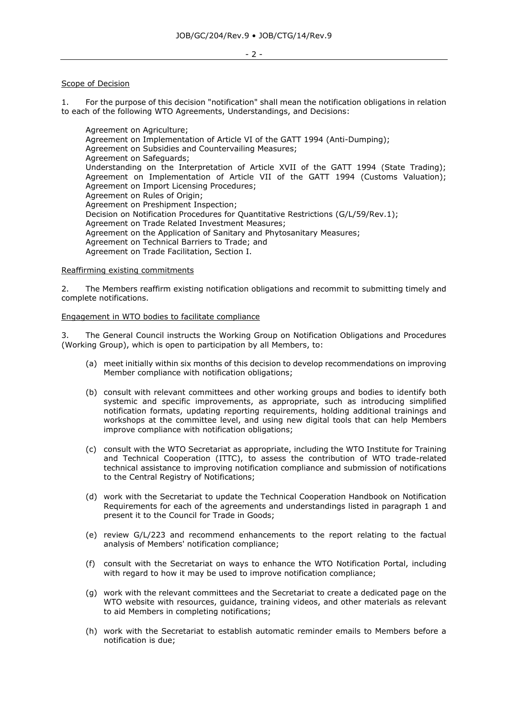### Scope of Decision

1. For the purpose of this decision "notification" shall mean the notification obligations in relation to each of the following WTO Agreements, Understandings, and Decisions:

Agreement on Agriculture; Agreement on Implementation of Article VI of the GATT 1994 (Anti-Dumping); Agreement on Subsidies and Countervailing Measures; Agreement on Safeguards; Understanding on the Interpretation of Article XVII of the GATT 1994 (State Trading); Agreement on Implementation of Article VII of the GATT 1994 (Customs Valuation); Agreement on Import Licensing Procedures; Agreement on Rules of Origin; Agreement on Preshipment Inspection; Decision on Notification Procedures for Quantitative Restrictions (G/L/59/Rev.1); Agreement on Trade Related Investment Measures; Agreement on the Application of Sanitary and Phytosanitary Measures; Agreement on Technical Barriers to Trade; and Agreement on Trade Facilitation, Section I.

#### Reaffirming existing commitments

2. The Members reaffirm existing notification obligations and recommit to submitting timely and complete notifications.

### Engagement in WTO bodies to facilitate compliance

3. The General Council instructs the Working Group on Notification Obligations and Procedures (Working Group), which is open to participation by all Members, to:

- (a) meet initially within six months of this decision to develop recommendations on improving Member compliance with notification obligations;
- (b) consult with relevant committees and other working groups and bodies to identify both systemic and specific improvements, as appropriate, such as introducing simplified notification formats, updating reporting requirements, holding additional trainings and workshops at the committee level, and using new digital tools that can help Members improve compliance with notification obligations;
- (c) consult with the WTO Secretariat as appropriate, including the WTO Institute for Training and Technical Cooperation (ITTC), to assess the contribution of WTO trade-related technical assistance to improving notification compliance and submission of notifications to the Central Registry of Notifications;
- (d) work with the Secretariat to update the Technical Cooperation Handbook on Notification Requirements for each of the agreements and understandings listed in paragraph 1 and present it to the Council for Trade in Goods;
- (e) review G/L/223 and recommend enhancements to the report relating to the factual analysis of Members' notification compliance;
- (f) consult with the Secretariat on ways to enhance the WTO Notification Portal, including with regard to how it may be used to improve notification compliance;
- (g) work with the relevant committees and the Secretariat to create a dedicated page on the WTO website with resources, guidance, training videos, and other materials as relevant to aid Members in completing notifications;
- (h) work with the Secretariat to establish automatic reminder emails to Members before a notification is due;